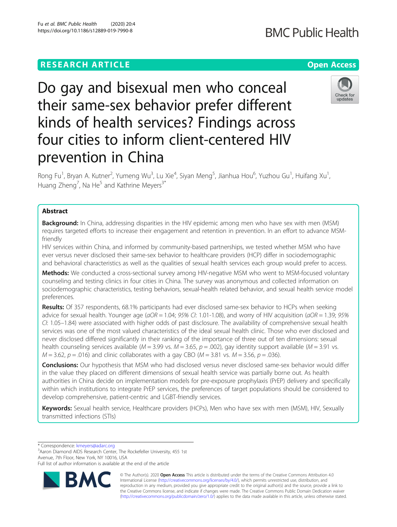## **RESEARCH ARTICLE Example 2014 12:30 The Contract of Contract ACCESS**

# Do gay and bisexual men who conceal their same-sex behavior prefer different kinds of health services? Findings across four cities to inform client-centered HIV prevention in China

Rong Fu<sup>1</sup>, Bryan A. Kutner<sup>2</sup>, Yumeng Wu<sup>3</sup>, Lu Xie<sup>4</sup>, Siyan Meng<sup>5</sup>, Jianhua Hou<sup>6</sup>, Yuzhou Gu<sup>1</sup>, Huifang Xu<sup>1</sup> , Huang Zheng<sup>7</sup>, Na He<sup>5</sup> and Kathrine Meyers<sup>3\*</sup>

## Abstract

**Background:** In China, addressing disparities in the HIV epidemic among men who have sex with men (MSM) requires targeted efforts to increase their engagement and retention in prevention. In an effort to advance MSMfriendly

HIV services within China, and informed by community-based partnerships, we tested whether MSM who have ever versus never disclosed their same-sex behavior to healthcare providers (HCP) differ in sociodemographic and behavioral characteristics as well as the qualities of sexual health services each group would prefer to access.

Methods: We conducted a cross-sectional survey among HIV-negative MSM who went to MSM-focused voluntary counseling and testing clinics in four cities in China. The survey was anonymous and collected information on sociodemographic characteristics, testing behaviors, sexual-health related behavior, and sexual health service model preferences.

Results: Of 357 respondents, 68.1% participants had ever disclosed same-sex behavior to HCPs when seeking advice for sexual health. Younger age ( $aOR = 1.04$ ;  $95\%$  CI: 1.01-1.08), and worry of HIV acquisition ( $aOR = 1.39$ ;  $95\%$ CI: 1.05–1.84) were associated with higher odds of past disclosure. The availability of comprehensive sexual health services was one of the most valued characteristics of the ideal sexual health clinic. Those who ever disclosed and never disclosed differed significantly in their ranking of the importance of three out of ten dimensions: sexual health counseling services available ( $M = 3.99$  vs.  $M = 3.65$ ,  $p = .002$ ), gay identity support available ( $M = 3.91$  vs.  $M = 3.62$ ,  $p = .016$ ) and clinic collaborates with a gay CBO ( $M = 3.81$  vs.  $M = 3.56$ ,  $p = .036$ ).

**Conclusions:** Our hypothesis that MSM who had disclosed versus never disclosed same-sex behavior would differ in the value they placed on different dimensions of sexual health service was partially borne out. As health authorities in China decide on implementation models for pre-exposure prophylaxis (PrEP) delivery and specifically within which institutions to integrate PrEP services, the preferences of target populations should be considered to develop comprehensive, patient-centric and LGBT-friendly services.

Keywords: Sexual health service, Healthcare providers (HCPs), Men who have sex with men (MSM), HIV, Sexually transmitted infections (STIs)

\* Correspondence: [kmeyers@adarc.org](mailto:kmeyers@adarc.org) <sup>3</sup>

<sup>3</sup> Aaron Diamond AIDS Research Center, The Rockefeller University, 455 1st Avenue, 7th Floor, New York, NY 10016, USA





© The Author(s). 2020 **Open Access** This article is distributed under the terms of the Creative Commons Attribution 4.0 International License [\(http://creativecommons.org/licenses/by/4.0/](http://creativecommons.org/licenses/by/4.0/)), which permits unrestricted use, distribution, and reproduction in any medium, provided you give appropriate credit to the original author(s) and the source, provide a link to the Creative Commons license, and indicate if changes were made. The Creative Commons Public Domain Dedication waiver [\(http://creativecommons.org/publicdomain/zero/1.0/](http://creativecommons.org/publicdomain/zero/1.0/)) applies to the data made available in this article, unless otherwise stated.



Check for undates

Full list of author information is available at the end of the article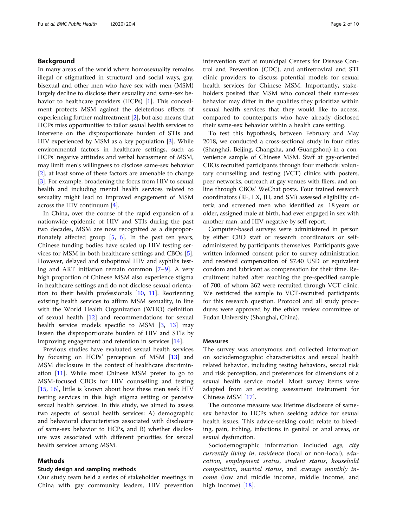## Background

In many areas of the world where homosexuality remains illegal or stigmatized in structural and social ways, gay, bisexual and other men who have sex with men (MSM) largely decline to disclose their sexuality and same-sex behavior to healthcare providers (HCPs) [\[1\]](#page-8-0). This concealment protects MSM against the deleterious effects of experiencing further maltreatment [\[2\]](#page-8-0), but also means that HCPs miss opportunities to tailor sexual health services to intervene on the disproportionate burden of STIs and HIV experienced by MSM as a key population [[3\]](#page-8-0). While environmental factors in healthcare settings, such as HCPs' negative attitudes and verbal harassment of MSM, may limit men's willingness to disclose same-sex behavior [[2\]](#page-8-0), at least some of these factors are amenable to change [[3\]](#page-8-0). For example, broadening the focus from HIV to sexual health and including mental health services related to sexuality might lead to improved engagement of MSM across the HIV continuum [\[4\]](#page-8-0).

In China, over the course of the rapid expansion of a nationwide epidemic of HIV and STIs during the past two decades, MSM are now recognized as a disproportionately affected group [[5,](#page-8-0) [6](#page-8-0)]. In the past ten years, Chinese funding bodies have scaled up HIV testing services for MSM in both healthcare settings and CBOs [\[5](#page-8-0)]. However, delayed and suboptimal HIV and syphilis testing and ART initiation remain common [\[7](#page-8-0)–[9](#page-8-0)]. A very high proportion of Chinese MSM also experience stigma in healthcare settings and do not disclose sexual orientation to their health professionals [\[10,](#page-8-0) [11\]](#page-8-0). Reorienting existing health services to affirm MSM sexuality, in line with the World Health Organization (WHO) definition of sexual health [[12\]](#page-8-0) and recommendations for sexual health service models specific to MSM [\[3,](#page-8-0) [13](#page-8-0)] may lessen the disproportionate burden of HIV and STIs by improving engagement and retention in services [\[14](#page-8-0)].

Previous studies have evaluated sexual health services by focusing on HCPs' perception of MSM [\[13](#page-8-0)] and MSM disclosure in the context of healthcare discrimination [\[11](#page-8-0)]. While most Chinese MSM prefer to go to MSM-focused CBOs for HIV counselling and testing [[15,](#page-8-0) [16](#page-8-0)], little is known about how these men seek HIV testing services in this high stigma setting or perceive sexual health services. In this study, we aimed to assess two aspects of sexual health services: A) demographic and behavioral characteristics associated with disclosure of same-sex behavior to HCPs, and B) whether disclosure was associated with different priorities for sexual health services among MSM.

## Methods

## Study design and sampling methods

Our study team held a series of stakeholder meetings in China with gay community leaders, HIV prevention intervention staff at municipal Centers for Disease Control and Prevention (CDC), and antiretroviral and STI clinic providers to discuss potential models for sexual health services for Chinese MSM. Importantly, stakeholders posited that MSM who conceal their same-sex behavior may differ in the qualities they prioritize within sexual health services that they would like to access, compared to counterparts who have already disclosed their same-sex behavior within a health care setting.

To test this hypothesis, between February and May 2018, we conducted a cross-sectional study in four cities (Shanghai, Beijing, Changsha, and Guangzhou) in a convenience sample of Chinese MSM. Staff at gay-oriented CBOs recruited participants through four methods: voluntary counselling and testing (VCT) clinics with posters, peer networks, outreach at gay venues with fliers, and online through CBOs' WeChat posts. Four trained research coordinators (RF, LX, JH, and SM) assessed eligibility criteria and screened men who identified as: 18 years or older, assigned male at birth, had ever engaged in sex with another man, and HIV-negative by self-report.

Computer-based surveys were administered in person by either CBO staff or research coordinators or selfadministered by participants themselves. Participants gave written informed consent prior to survey administration and received compensation of \$7.40 USD or equivalent condom and lubricant as compensation for their time. Recruitment halted after reaching the pre-specified sample of 700, of whom 362 were recruited through VCT clinic. We restricted the sample to VCT-recruited participants for this research question. Protocol and all study procedures were approved by the ethics review committee of Fudan University (Shanghai, China).

## Measures

The survey was anonymous and collected information on sociodemographic characteristics and sexual health related behavior, including testing behaviors, sexual risk and risk perception, and preferences for dimensions of a sexual health service model. Most survey items were adapted from an existing assessment instrument for Chinese MSM [[17](#page-8-0)].

The outcome measure was lifetime disclosure of samesex behavior to HCPs when seeking advice for sexual health issues. This advice-seeking could relate to bleeding, pain, itching, infections in genital or anal areas, or sexual dysfunction.

Sociodemographic information included age, city currently living in, residence (local or non-local), education, employment status, student status, household composition, marital status, and average monthly income (low and middle income, middle income, and high income) [[18\]](#page-8-0).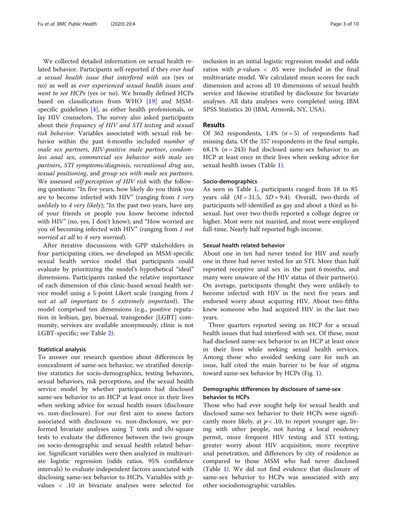We collected detailed information on sexual health related behavior. Participants self-reported if they ever had a sexual health issue that interfered with sex (yes or no) as well as ever experienced sexual health issues and went to see HCPs (yes or no). We broadly defined HCPs based on classification from WHO [[19\]](#page-8-0) and MSMspecific guidelines [\[4](#page-8-0)], as either health professionals, or lay HIV counselors. The survey also asked participants about their frequency of HIV and STI testing and sexual risk behavior. Variables associated with sexual risk behavior within the past 6 months included *number of* male sex partners, HIV-positive male partner, condomless anal sex, commercial sex behavior with male sex partners, STI symptoms/diagnosis, recreational drug use, sexual positioning, and group sex with male sex partners. We assessed self-perception of HIV risk with the following questions: "In five years, how likely do you think you are to become infected with HIV" (ranging from  $1$  very unlikely to 4 very likely); "In the past two years, have any of your friends or people you know become infected with HIV" (no, yes, I don't know); and "How worried are you of becoming infected with HIV" (ranging from 1 not worried at all to 4 very worried).

After iterative discussions with GPP stakeholders in four participating cities, we developed an MSM-specific sexual health service model that participants could evaluate by prioritizing the model's hypothetical "ideal" dimensions. Participants ranked the relative importance of each dimension of this clinic-based sexual health service model using a 5-point Likert scale (ranging from 1 not at all important to 5 extremely important). The model comprised ten dimensions (e.g., positive reputation in lesbian, gay, bisexual, transgender [LGBT] community, services are available anonymously, clinic is not LGBT-specific; see Table [2](#page-5-0)).

### Statistical analysis

To answer our research question about differences by concealment of same-sex behavior, we stratified descriptive statistics for socio-demographics, testing behaviors, sexual behaviors, risk perceptions, and the sexual health service model by whether participants had disclosed same-sex behavior to an HCP at least once in their lives when seeking advice for sexual health issues (disclosure vs. non-disclosure). For our first aim to assess factors associated with disclosure vs. non-disclosure, we performed bivariate analyses using T tests and chi-square tests to evaluate the difference between the two groups on socio-demographic and sexual health related behavior. Significant variables were then analyzed in multivariate logistic regression (odds ratios, 95% confidence intervals) to evaluate independent factors associated with disclosing same-sex behavior to HCPs. Variables with pvalues < .10 in bivariate analyses were selected for inclusion in an initial logistic regression model and odds ratios with  $p$ -values < .05 were included in the final multivariate model. We calculated mean scores for each dimension and across all 10 dimensions of sexual health service and likewise stratified by disclosure for bivariate analyses. All data analyses were completed using IBM SPSS Statistics 20 (IBM, Armonk, NY, USA).

## Results

Of 362 respondents, 1.4%  $(n = 5)$  of respondents had missing data. Of the 357 respondents in the final sample, 68.1% ( $n = 243$ ) had disclosed same-sex behavior to an HCP at least once in their lives when seeking advice for sexual health issues (Table [1\)](#page-3-0).

## Socio-demographics

As seen in Table [1,](#page-3-0) participants ranged from 18 to 85 years old  $(M = 31.5, SD = 9.4)$ . Overall, two-thirds of participants self-identified as gay and about a third as bisexual. Just over two-thirds reported a college degree or higher. Most were not married, and most were employed full-time. Nearly half reported high-income.

## Sexual health related behavior

About one in ten had never tested for HIV and nearly one in three had never tested for an STI. More than half reported receptive anal sex in the past 6 months, and many were unaware of the HIV status of their partner(s). On average, participants thought they were unlikely to become infected with HIV in the next five years and endorsed worry about acquiring HIV. About two-fifths knew someone who had acquired HIV in the last two years.

Three quarters reported seeing an HCP for a sexual health issues that had interfered with sex. Of these, most had disclosed same-sex behavior to an HCP at least once in their lives while seeking sexual health services. Among those who avoided seeking care for such an issue, half cited the main barrier to be fear of stigma toward same-sex behavior by HCPs (Fig. [1\)](#page-4-0).

## Demographic differences by disclosure of same-sex behavior to HCPs

Those who had ever sought help for sexual health and disclosed same-sex behavior to their HCPs were significantly more likely, at  $p < 0.10$ , to report younger age, living with other people, not having a local residency permit, more frequent HIV testing and STI testing, greater worry about HIV acquisition, more receptive anal penetration, and differences by city of residence as compared to those MSM who had never disclosed (Table [1](#page-3-0)). We did not find evidence that disclosure of same-sex behavior to HCPs was associated with any other sociodemographic variables.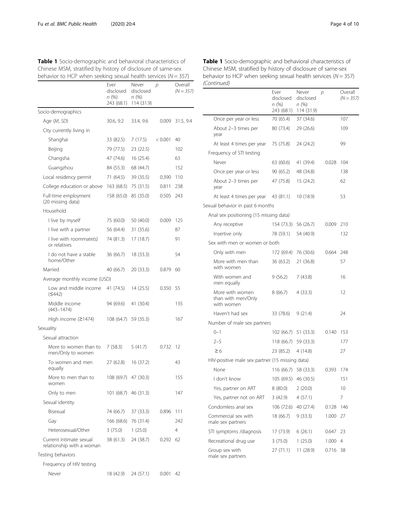|                                                      | Ever<br>disclosed<br>n(%)<br>243 (68.1) | Never<br>disclosed<br>n(%)<br>114 (31.9) | $\mathcal{P}$ | $  \prime$ $\prime$<br>Overall<br>$(N = 357)$ |
|------------------------------------------------------|-----------------------------------------|------------------------------------------|---------------|-----------------------------------------------|
| Socio-demographics                                   |                                         |                                          |               |                                               |
| Age (M, SD)                                          | 30.6, 9.2                               | 33.4, 9.6                                | 0.009         | 31.5, 9.4                                     |
| City currently living in                             |                                         |                                          |               |                                               |
| Shanghai                                             | 33 (82.5)                               | 7 (17.5)                                 | < 0.001       | 40                                            |
| Beijing                                              | 79 (77.5)                               | 23 (22.5)                                |               | 102                                           |
| Changsha                                             | 47 (74.6)                               | 16(25.4)                                 |               | 63                                            |
| Guangzhou                                            | 84 (55.3)                               | 68 (44.7)                                |               | 152                                           |
| Local residency permit                               | 71 (64.5)                               | 39 (35.5)                                | 0.390         | 110                                           |
| College education or above                           | 163 (68.5)                              | 75 (31.5)                                | 0.811         | 238                                           |
| Full-time employment<br>(20 missing data)            | 158 (65.0)                              | 85 (35.0)                                | 0.505         | 243                                           |
| Household                                            |                                         |                                          |               |                                               |
| I live by myself                                     | 75 (60.0)                               | 50 (40.0)                                | 0.009         | 125                                           |
| I live with a partner                                | 56 (64.4)                               | 31 (35.6)                                |               | 87                                            |
| I live with roommate(s)<br>or relatives              | 74 (81.3)                               | 17 (18.7)                                |               | 91                                            |
| I do not have a stable<br>home/Other                 | 36(66.7)                                | 18 (33.3)                                |               | 54                                            |
| Married                                              | 40 (66.7)                               | 20 (33.3)                                | 0.879         | 60                                            |
| Average monthly income (USD)                         |                                         |                                          |               |                                               |
| Low and middle income 41 (74.5)<br>(5442)            |                                         | 14(25.5)                                 | 0.350         | -55                                           |
| Middle income<br>$(443 - 1474)$                      | 94 (69.6)                               | 41 (30.4)                                |               | 135                                           |
| High income $(21474)$                                | 108 (64.7) 59 (35.3)                    |                                          |               | 167                                           |
| Sexuality                                            |                                         |                                          |               |                                               |
| Sexual attraction                                    |                                         |                                          |               |                                               |
| More to women than to<br>men/Only to women           | 7 (58.3)                                | 5 (41.7)                                 | 0.732         | 12                                            |
| To women and men<br>equally                          | 27 (62.8)                               | 16(37.2)                                 |               | 43                                            |
| More to men than to<br>women                         | 108 (69.7) 47 (30.3)                    |                                          |               | 155                                           |
| Only to men                                          | 101 (68.7) 46 (31.3)                    |                                          |               | 147                                           |
| Sexual identity                                      |                                         |                                          |               |                                               |
| Bisexual                                             | 74 (66.7) 37 (33.3)                     |                                          | 0.896 111     |                                               |
| Gay                                                  | 166 (68.6) 76 (31.4)                    |                                          |               | 242                                           |
| Heterosexual/Other                                   | $3(75.0)$ 1 (25.0)                      |                                          |               | 4                                             |
| Current intimate sexual<br>relationship with a woman |                                         | 38 (61.3) 24 (38.7)                      | $0.292$ 62    |                                               |
| Testing behaviors                                    |                                         |                                          |               |                                               |
| Frequency of HIV testing                             |                                         |                                          |               |                                               |
| Never                                                |                                         | 18 (42.9) 24 (57.1)                      | 0.001         | 42                                            |

<span id="page-3-0"></span>Table 1 Socio-demographic and behavioral characteristics of Chinese MSM, stratified by history of disclosure of same-sex behavior to HCP when seeking sexual health services ( $N = 357$ )

Table 1 Socio-demographic and behavioral characteristics of Chinese MSM, stratified by history of disclosure of same-sex behavior to HCP when seeking sexual health services ( $N = 357$ ) (Continued)

| Communica)                                          |                            |                                    |       |                        |
|-----------------------------------------------------|----------------------------|------------------------------------|-------|------------------------|
|                                                     | Ever<br>disclosed<br>n (%) | Never<br>disclosed<br>n (%)        | р     | Overall<br>$(N = 357)$ |
| Once per year or less                               | 70 (65.4)                  | 243 (68.1) 114 (31.9)<br>37 (34.6) |       | 107                    |
| About 2-3 times per<br>year                         | 80 (73.4)                  | 29 (26.6)                          |       | 109                    |
| At least 4 times per year                           | 75 (75.8)                  | 24 (24.2)                          |       | 99                     |
| Frequency of STI testing                            |                            |                                    |       |                        |
| Never                                               | 63 (60.6)                  | 41 (39.4)                          | 0.028 | 104                    |
| Once per year or less                               | 90 (65.2)                  | 48 (34.8)                          |       | 138                    |
| About 2-3 times per<br>year                         | 47 (75.8)                  | 15(24.2)                           |       | 62                     |
| At least 4 times per year 43 (81.1)                 |                            | 10(18.9)                           |       | 53                     |
| Sexual behavior in past 6 months                    |                            |                                    |       |                        |
| Anal sex positioning (15 missing data)              |                            |                                    |       |                        |
| Any receptive                                       | 154 (73.3) 56 (26.7)       |                                    | 0.009 | 210                    |
| Insertive only                                      | 78 (59.1)                  | 54 (40.9)                          |       | 132                    |
| Sex with men or women or both                       |                            |                                    |       |                        |
| Only with men                                       | 172 (69.4) 76 (30.6)       |                                    | 0.664 | 248                    |
| More with men than<br>with women                    | 36 (63.2)                  | 21(36.8)                           |       | 57                     |
| With women and<br>men equally                       | 9(56.2)                    | 7 (43.8)                           |       | 16                     |
| More with women<br>than with men/Only<br>with women | 8(66.7)                    | 4 (33.3)                           |       | 12                     |
| Haven't had sex                                     | 33 (78.6)                  | 9(21.4)                            |       | 24                     |
| Number of male sex partners                         |                            |                                    |       |                        |
| $0 - 1$                                             | $102(66.7)$ 51 (33.3)      |                                    | 0.140 | 153                    |
| $2 - 5$                                             | $118(66.7)$ 59 (33.3)      |                                    |       | 177                    |
| $\geq 6$                                            | 23 (85.2)                  | 4(14.8)                            |       | 27                     |
| HIV-positive male sex partner (15 missing data)     |                            |                                    |       |                        |
| None                                                | $116(66.7)$ 58 (33.3)      |                                    | 0.393 | 174                    |
| I don't know                                        | 105 (69.5) 46 (30.5)       |                                    |       | 151                    |
| Yes, partner on ART                                 | 8 (80.0)                   | 2(20.0)                            |       | 10                     |
| Yes, partner not on ART                             | 3(42.9)                    | 4(57.1)                            |       | 7                      |
| Condomless anal sex                                 | 106 (72.6)                 | 40 (27.4)                          | 0.128 | 146                    |
| Commercial sex with<br>male sex partners            | 18 (66.7)                  | 9 (33.3)                           | 1.000 | 27                     |
| STI symptoms /diagnosis                             | 17 (73.9)                  | 6 (26.1)                           | 0.647 | 23                     |
| Recreational drug use                               | 3(75.0)                    | 1(25.0)                            | 1.000 | 4                      |
| Group sex with<br>male sex partners                 | 27 (71.1)                  | 11 (28.9)                          | 0.716 | 38                     |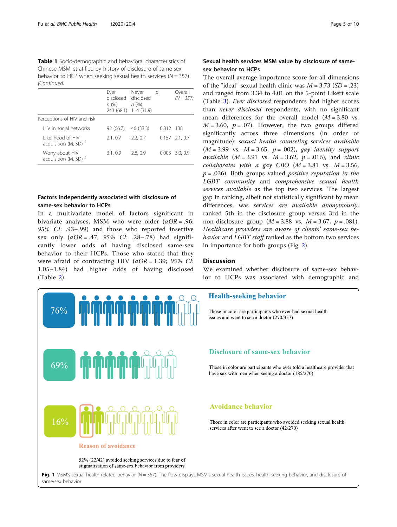<span id="page-4-0"></span>

| Table 1 Socio-demographic and behavioral characteristics of       |
|-------------------------------------------------------------------|
| Chinese MSM, stratified by history of disclosure of same-sex      |
| behavior to HCP when seeking sexual health services ( $N = 357$ ) |
| (Continued)                                                       |

|                                               | Fver<br>disclosed disclosed<br>n(%)<br>243 (68.1) 114 (31.9) | Never<br>n(%) | D         | Overall<br>$(N = 357)$ |
|-----------------------------------------------|--------------------------------------------------------------|---------------|-----------|------------------------|
| Perceptions of HIV and risk                   |                                                              |               |           |                        |
| HIV in social networks                        | 92 (66.7)                                                    | 46 (33.3)     | 0.812 138 |                        |
| Likelihood of HIV<br>acquisition (M, SD) $^2$ | 2.1.07                                                       | 2.2.0.7       |           | $0.157$ 2.1, 0.7       |
| Worry about HIV<br>acquisition (M, SD) $3$    | 3.1, 0.9                                                     | 2.8, 0.9      |           | $0.003$ 3.0, 0.9       |

## Factors independently associated with disclosure of same-sex behavior to HCPs

In a multivariate model of factors significant in bivariate analyses, MSM who were older  $(aOR = .96;$ 95% CI: .93–.99) and those who reported insertive sex only  $(aOR = .47; 95\% CI: .28-.78)$  had significantly lower odds of having disclosed same-sex behavior to their HCPs. Those who stated that they were afraid of contracting HIV ( $aOR = 1.39$ ; 95% CI: 1.05–1.84) had higher odds of having disclosed (Table [2](#page-5-0)).



## Sexual health services MSM value by disclosure of samesex behavior to HCPs

The overall average importance score for all dimensions of the "ideal" sexual health clinic was  $M = 3.73$  (SD = .23) and ranged from 3.34 to 4.01 on the 5-point Likert scale (Table [3\)](#page-6-0). Ever disclosed respondents had higher scores than never disclosed respondents, with no significant mean differences for the overall model  $(M = 3.80$  vs.  $M = 3.60$ ,  $p = .07$ ). However, the two groups differed significantly across three dimensions (in order of magnitude): sexual health counseling services available  $(M = 3.99$  vs.  $M = 3.65$ ,  $p = .002$ ), gay identity support *available*  $(M = 3.91 \text{ vs. } M = 3.62, p = .016)$ , and *clinic* collaborates with a gay CBO  $(M = 3.81$  vs.  $M = 3.56$ ,  $p = .036$ ). Both groups valued *positive reputation in the* LGBT community and comprehensive sexual health services available as the top two services. The largest gap in ranking, albeit not statistically significant by mean differences, was services are available anonymously, ranked 5th in the disclosure group versus 3rd in the non-disclosure group  $(M = 3.88 \text{ vs. } M = 3.67, p = .081)$ . Healthcare providers are aware of clients' same-sex behavior and LGBT staff ranked as the bottom two services in importance for both groups (Fig. [2\)](#page-6-0).

## **Discussion**

We examined whether disclosure of same-sex behavior to HCPs was associated with demographic and

## **Health-seeking behavior**

Those in color are participants who ever had sexual health issues and went to see a doctor (270/357)

## **Disclosure of same-sex behavior**

Those in color are participants who ever told a healthcare provider that have sex with men when seeing a doctor (185/270)

## **Avoidance behavior**

Those in color are participants who avoided seeking sexual health services after went to see a doctor (42/270)

Fig. 1 MSM's sexual health related behavior (N = 357). The flow displays MSM's sexual health issues, health-seeking behavior, and disclosure of same-sex behavior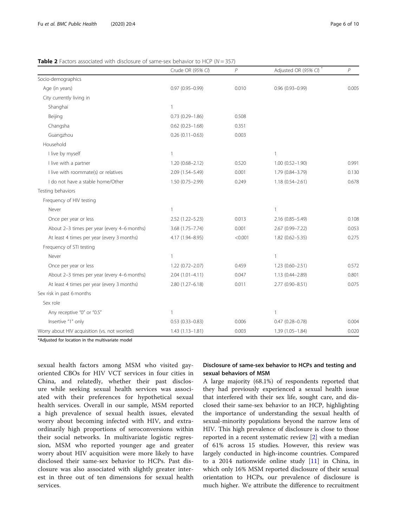## <span id="page-5-0"></span>**Table 2** Factors associated with disclosure of same-sex behavior to HCP ( $N = 357$ )

|                                               | Crude OR (95% CI)      | $\overline{P}$ | Adjusted OR (95% CI) | $\mathcal{P}$ |
|-----------------------------------------------|------------------------|----------------|----------------------|---------------|
| Socio-demographics                            |                        |                |                      |               |
| Age (in years)                                | $0.97(0.95 - 0.99)$    | 0.010          | $0.96(0.93 - 0.99)$  | 0.005         |
| City currently living in                      |                        |                |                      |               |
| Shanghai                                      | 1                      |                |                      |               |
| Beijing                                       | $0.73(0.29 - 1.86)$    | 0.508          |                      |               |
| Changsha                                      | $0.62$ $(0.23 - 1.68)$ | 0.351          |                      |               |
| Guangzhou                                     | $0.26(0.11 - 0.63)$    | 0.003          |                      |               |
| Household                                     |                        |                |                      |               |
| I live by myself                              | $\mathbf{1}$           |                | 1                    |               |
| I live with a partner                         | $1.20(0.68 - 2.12)$    | 0.520          | $1.00(0.52 - 1.90)$  | 0.991         |
| I live with roommate(s) or relatives          | 2.09 (1.54-5.49)       | 0.001          | 1.79 (0.84-3.79)     | 0.130         |
| I do not have a stable home/Other             | $1.50(0.75 - 2.99)$    | 0.249          | $1.18(0.54 - 2.61)$  | 0.678         |
| Testing behaviors                             |                        |                |                      |               |
| Frequency of HIV testing                      |                        |                |                      |               |
| Never                                         | $\mathbf{1}$           |                | $\mathbf{1}$         |               |
| Once per year or less                         | $2.52(1.22 - 5.23)$    | 0.013          | 2.16 (0.85-5.49)     | 0.108         |
| About 2-3 times per year (every 4-6 months)   | 3.68 (1.75-7.74)       | 0.001          | 2.67 (0.99-7.22)     | 0.053         |
| At least 4 times per year (every 3 months)    | 4.17 (1.94-8.95)       | < 0.001        | $1.82(0.62 - 5.35)$  | 0.275         |
| Frequency of STI testing                      |                        |                |                      |               |
| Never                                         | $\mathbf{1}$           |                | $\mathbf{1}$         |               |
| Once per year or less                         | $1.22(0.72 - 2.07)$    | 0.459          | $1.23(0.60 - 2.51)$  | 0.572         |
| About 2-3 times per year (every 4-6 months)   | $2.04(1.01 - 4.11)$    | 0.047          | 1.13 (0.44-2.89)     | 0.801         |
| At least 4 times per year (every 3 months)    | 2.80 (1.27-6.18)       | 0.011          | 2.77 (0.90-8.51)     | 0.075         |
| Sex risk in past 6 months                     |                        |                |                      |               |
| Sex role                                      |                        |                |                      |               |
| Any receptive "0" or "0.5"                    | $\mathbf{1}$           |                | 1                    |               |
| Insertive "1" only                            | $0.53(0.33 - 0.83)$    | 0.006          | $0.47(0.28 - 0.78)$  | 0.004         |
| Worry about HIV acquisition (vs. not worried) | $1.43(1.13 - 1.81)$    | 0.003          | 1.39 (1.05-1.84)     | 0.020         |

\*Adjusted for location in the multivariate model

sexual health factors among MSM who visited gayoriented CBOs for HIV VCT services in four cities in China, and relatedly, whether their past disclosure while seeking sexual health services was associated with their preferences for hypothetical sexual health services. Overall in our sample, MSM reported a high prevalence of sexual health issues, elevated worry about becoming infected with HIV, and extraordinarily high proportions of seroconversions within their social networks. In multivariate logistic regression, MSM who reported younger age and greater worry about HIV acquisition were more likely to have disclosed their same-sex behavior to HCPs. Past disclosure was also associated with slightly greater interest in three out of ten dimensions for sexual health services.

## Disclosure of same-sex behavior to HCPs and testing and sexual behaviors of MSM

A large majority (68.1%) of respondents reported that they had previously experienced a sexual health issue that interfered with their sex life, sought care, and disclosed their same-sex behavior to an HCP, highlighting the importance of understanding the sexual health of sexual-minority populations beyond the narrow lens of HIV. This high prevalence of disclosure is close to those reported in a recent systematic review [\[2](#page-8-0)] with a median of 61% across 15 studies. However, this review was largely conducted in high-income countries. Compared to a 2014 nationwide online study [\[11](#page-8-0)] in China, in which only 16% MSM reported disclosure of their sexual orientation to HCPs, our prevalence of disclosure is much higher. We attribute the difference to recruitment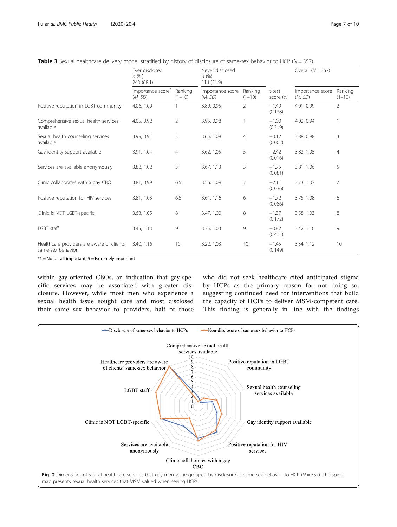|                                                                 | Ever disclosed<br>n(%)<br>243 (68.1) |                       | Never disclosed<br>n(%)<br>114 (31.9) |                       |                       | Overall $(N = 357)$         |                       |
|-----------------------------------------------------------------|--------------------------------------|-----------------------|---------------------------------------|-----------------------|-----------------------|-----------------------------|-----------------------|
|                                                                 | Importance score<br>(M, SD)          | Ranking<br>$(1 - 10)$ | Importance score<br>(M, SD)           | Ranking<br>$(1 - 10)$ | t-test<br>score $(p)$ | Importance score<br>(M, SD) | Ranking<br>$(1 - 10)$ |
| Positive reputation in LGBT community                           | 4.06, 1.00                           |                       | 3.89, 0.95                            | $\overline{2}$        | $-1.49$<br>(0.138)    | 4.01, 0.99                  | $\overline{2}$        |
| Comprehensive sexual health services<br>available               | 4.05, 0.92                           | $\overline{2}$        | 3.95, 0.98                            | $\mathbf{1}$          | $-1.00$<br>(0.319)    | 4.02, 0.94                  | $\mathbf{1}$          |
| Sexual health counseling services<br>available                  | 3.99, 0.91                           | 3                     | 3.65, 1.08                            | $\overline{4}$        | $-3.12$<br>(0.002)    | 3.88, 0.98                  | 3                     |
| Gay identity support available                                  | 3.91, 1.04                           | 4                     | 3.62, 1.05                            | 5                     | $-2.42$<br>(0.016)    | 3.82, 1.05                  | $\overline{4}$        |
| Services are available anonymously                              | 3.88, 1.02                           | 5                     | 3.67, 1.13                            | 3                     | $-1.75$<br>(0.081)    | 3.81, 1.06                  | 5                     |
| Clinic collaborates with a gay CBO                              | 3.81, 0.99                           | 6.5                   | 3.56, 1.09                            | 7                     | $-2.11$<br>(0.036)    | 3.73, 1.03                  | 7                     |
| Positive reputation for HIV services                            | 3.81, 1.03                           | 6.5                   | 3.61, 1.16                            | 6                     | $-1.72$<br>(0.086)    | 3.75, 1.08                  | 6                     |
| Clinic is NOT LGBT-specific                                     | 3.63, 1.05                           | 8                     | 3.47, 1.00                            | 8                     | $-1.37$<br>(0.172)    | 3.58, 1.03                  | 8                     |
| LGBT staff                                                      | 3.45, 1.13                           | 9                     | 3.35, 1.03                            | 9                     | $-0.82$<br>(0.415)    | 3.42, 1.10                  | 9                     |
| Healthcare providers are aware of clients'<br>same-sex behavior | 3.40, 1.16                           | 10                    | 3.22, 1.03                            | 10                    | $-1.45$<br>(0.149)    | 3.34, 1.12                  | 10                    |

<span id="page-6-0"></span>**Table 3** Sexual healthcare delivery model stratified by history of disclosure of same-sex behavior to HCP ( $N = 357$ )

 $*1$  = Not at all important,  $5$  = Extremely important

within gay-oriented CBOs, an indication that gay-specific services may be associated with greater disclosure. However, while most men who experience a sexual health issue sought care and most disclosed their same sex behavior to providers, half of those who did not seek healthcare cited anticipated stigma by HCPs as the primary reason for not doing so, suggesting continued need for interventions that build the capacity of HCPs to deliver MSM-competent care. This finding is generally in line with the findings

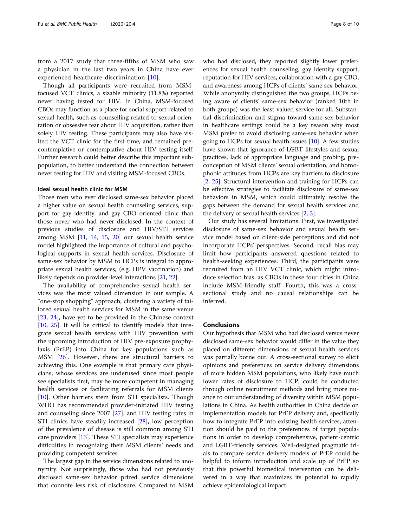from a 2017 study that three-fifths of MSM who saw a physician in the last two years in China have ever experienced healthcare discrimination [[10\]](#page-8-0).

Though all participants were recruited from MSMfocused VCT clinics, a sizable minority (11.8%) reported never having tested for HIV. In China, MSM-focused CBOs may function as a place for social support related to sexual health, such as counselling related to sexual orientation or obsessive fear about HIV acquisition, rather than solely HIV testing. These participants may also have visited the VCT clinic for the first time, and remained precontemplative or contemplative about HIV testing itself. Further research could better describe this important subpopulation, to better understand the connection between never testing for HIV and visiting MSM-focused CBOs.

#### Ideal sexual health clinic for MSM

Those men who ever disclosed same-sex behavior placed a higher value on sexual health counseling services, support for gay identity, and gay CBO oriented clinic than those never who had never disclosed. In the context of previous studies of disclosure and HIV/STI services among MSM [[11](#page-8-0), [14,](#page-8-0) [15,](#page-8-0) [20](#page-8-0)] our sexual health service model highlighted the importance of cultural and psychological supports in sexual health services. Disclosure of same-sex behavior by MSM to HCPs is integral to appropriate sexual health services, (e.g. HPV vaccination) and likely depends on provider-level interactions [\[21,](#page-8-0) [22](#page-8-0)].

The availability of comprehensive sexual health services was the most valued dimension in our sample. A "one-stop shopping" approach, clustering a variety of tailored sexual health services for MSM in the same venue [[23,](#page-8-0) [24](#page-9-0)], have yet to be provided in the Chinese context [[10,](#page-8-0) [25\]](#page-9-0). It will be critical to identify models that integrate sexual health services with HIV prevention with the upcoming introduction of HIV pre-exposure prophylaxis (PrEP) into China for key populations such as MSM [[26\]](#page-9-0). However, there are structural barriers to achieving this. One example is that primary care physicians, whose services are underused since most people see specialists first, may be more competent in managing health services or facilitating referrals for MSM clients [[10\]](#page-8-0). Other barriers stem from STI specialists. Though WHO has recommended provider-initiated HIV testing and counseling since 2007 [[27\]](#page-9-0), and HIV testing rates in STI clinics have steadily increased [[28\]](#page-9-0), low perception of the prevalence of disease is still common among STI care providers [[13](#page-8-0)]. These STI specialists may experience difficulties in recognizing their MSM clients' needs and providing competent services.

The largest gap in the service dimensions related to anonymity. Not surprisingly, those who had not previously disclosed same-sex behavior prized service dimensions that connote less risk of disclosure. Compared to MSM

who had disclosed, they reported slightly lower preferences for sexual health counseling, gay identity support, reputation for HIV services, collaboration with a gay CBO, and awareness among HCPs of clients' same sex behavior. While anonymity distinguished the two groups, HCPs being aware of clients' same-sex behavior (ranked 10th in both groups) was the least valued service for all. Substantial discrimination and stigma toward same-sex behavior in healthcare settings could be a key reason why most MSM prefer to avoid disclosing same-sex behavior when going to HCPs for sexual health issues  $[10]$ . A few studies have shown that ignorance of LGBT lifestyles and sexual practices, lack of appropriate language and probing, preconception of MSM clients' sexual orientation, and homophobic attitudes from HCPs are key barriers to disclosure [[2,](#page-8-0) [25\]](#page-9-0). Structural intervention and training for HCPs can be effective strategies to facilitate disclosure of same-sex behaviors in MSM, which could ultimately resolve the gaps between the demand for sexual health services and the delivery of sexual health services [\[2](#page-8-0), [3\]](#page-8-0).

Our study has several limitations. First, we investigated disclosure of same-sex behavior and sexual health service model based on client-side perceptions and did not incorporate HCPs' perspectives. Second, recall bias may limit how participants answered questions related to health-seeking experiences. Third, the participants were recruited from an HIV VCT clinic, which might introduce selection bias, as CBOs in these four cities in China include MSM-friendly staff. Fourth, this was a crosssectional study and no causal relationships can be inferred.

## Conclusions

Our hypothesis that MSM who had disclosed versus never disclosed same-sex behavior would differ in the value they placed on different dimensions of sexual health services was partially borne out. A cross-sectional survey to elicit opinions and preferences on service delivery dimensions of more hidden MSM populations, who likely have much lower rates of disclosure to HCP, could be conducted through online recruitment methods and bring more nuance to our understanding of diversity within MSM populations in China. As health authorities in China decide on implementation models for PrEP delivery and, specifically how to integrate PrEP into existing health services, attention should be paid to the preferences of target populations in order to develop comprehensive, patient-centric and LGBT-friendly services. Well-designed pragmatic trials to compare service delivery models of PrEP could be helpful to inform introduction and scale up of PrEP so that this powerful biomedical intervention can be delivered in a way that maximizes its potential to rapidly achieve epidemiological impact.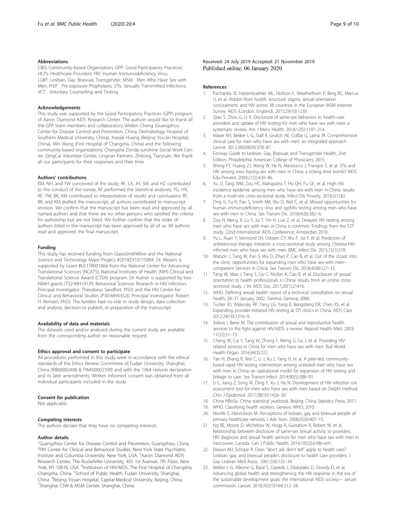## <span id="page-8-0"></span>Abbreviations

CBO: Community-based Organization; GPP: Good Participatory Practices; HCPs: Healthcare Providers; HIV: Human Immunodeficiency Virus; LGBT: Lesbian, Gay, Bisexual, Transgender; MSM : Men Who Have Sex with Men; PrEP : Pre-exposure Prophylaxis; STIs: Sexually Transmitted Infections; VCT : Voluntary Counselling and Testing

#### Acknowledgements

This study was supported by the Good Participatory Practices (GPP) program of Aaron Diamond AIDS Research Center. The authors would like to thank all the GPP team members and collaborators: Weibin Cheng (Guangzhou Center for Disease Control and Prevention, China; Dermatology Hospital of Southern Medical University, China), Xiaojie Huang (Beijing You'an Hospital, China), Min Wang (First Hospital of Changsha, China) and the following community-based organizations: Changsha Zonda-sunshine Social Work Center, QingCai Volunteer Center, Lingnan Partners, Zhitong, Tianyuan. We thank all our participants for their responses and their time.

#### Authors' contributions

KM, NH, and YW conceived of the study; RF, LX, JH, SM, and HZ contributed to the conduct of the survey; RF performed the statistical analyses; YG, HX, RF, YW, BK, KM contributed to interpretation of results and conclusions; RF, BK, and KM drafted the manuscript; all authors contributed to manuscript revision. We confirm that the manuscript has been read and approved by all named authors and that there are no other persons who satisfied the criteria for authorship but are not listed. We further confirm that the order of authors listed in the manuscript has been approved by all of us. All authors read and approved the final manuscript.

#### Funding

This study has received funding from GlaxoSmithKline and the National Science and Technology Major Project, #2018ZX10715004. Dr. Meyers is supported by Grant #UL1TR001866 from the National Center for Advancing Translational Sciences (NCATS), National Institutes of Health (NIH) Clinical and Translational Science Award (CTSA) program. Dr. Kutner is supported by two NIMH grants (T32-MH19139, Behavioral Sciences Research in HIV Infection; Principal Investigator: Theodorus Sandfort, PhD) and the HIV Center for Clinical and Behavioral Studies (P30-MH43520, Principal Investigator: Robert H. Remien, PhD). The funders had no role in study design, data collection and analysis, decision to publish, or preparation of the manuscript.

#### Availability of data and materials

The datasets used and/or analysed during the current study are available from the corresponding author on reasonable request.

## Ethics approval and consent to participate

All procedures performed in this study were in accordance with the ethical standards of the Ethics Review Committee of Fudan University, Shanghai, China (IRB00002408 & FWA00002399) and with the 1964 Helsinki declaration and its later amendments. Written informed consent was obtained from all individual participants included in the study.

#### Consent for publication

Not applicable.

#### Competing interests

The authors declare that they have no competing interests.

#### Author details

<sup>1</sup>Guangzhou Center for Disease Control and Prevention, Guangzhou, China. 2 HIV Center for Clinical and Behavioral Studies, New York State Psychiatric Institute and Columbia University, New York, USA. <sup>3</sup>Aaron Diamond AIDS Research Center, The Rockefeller University, 455 1st Avenue, 7th Floor, New York, NY 10016, USA. <sup>4</sup>Institution of HIV/AIDS, The First Hospital of Changsha, Changsha, China. <sup>5</sup>School of Public Health, Fudan University, Shanghai, China. <sup>6</sup>Beijing Youan Hospital, Capital Medical University, Beijing, China.<br><sup>7</sup>Shangbai CSW & MSM Conter, Shangbai, China. Shanghai CSW & MSM Center, Shanghai, China.

#### References

- 1. Pachankis JE, Hatzenbuehler ML, Hickson F, Weatherburn P, Berg RC, Marcus U, et al. Hidden from health: structural stigma, sexual orientation concealment, and HIV across 38 countries in the European MSM Internet Survey. AIDS (London, England). 2015;29(10):1239.
- 2. Qiao S, Zhou G, Li X. Disclosure of same-sex behaviors to health-care providers and uptake of HIV testing for men who have sex with men: a systematic review. Am J Mens Health. 2018;12(5):1197–214.
- 3. Mayer KH, Bekker L-G, Stall R, Grulich AE, Colfax G, Lama JR. Comprehensive clinical care for men who have sex with men: an integrated approach. Lancet. 2012;380(9839):378–87.
- 4. Fenway Guide to Lesbian, Gay, Bisexual, and Transgender Health, 2nd Edition. Philadelphia: American College of Physicians; 2015.
- 5. Wong FY, Huang ZJ, Wang W, He N, Marzzurco J, Frangos S, et al. STIs and HIV among men having sex with men in China: a ticking time bomb? AIDS Edu Prevent. 2009;21(5):430–46.
- 6. Xu JJ, Tang WM, Zou HC, Mahapatra T, Hu QH, Fu GF, et al. High HIV incidence epidemic among men who have sex with men in China: results from a multi-site cross-sectional study. Infect Dis Poverty. 2016;5(1):82.
- 7. Ong JJ, Fu H, Pan S, Smith MK, Wu D, Wei C, et al. Missed opportunities for human immunodeficiency virus and syphilis testing among men who have sex with men in China. Sex Transm Dis. 2018;45(6):382–6.
- 8. Zou H, Meng X, Lu Y, Jia T, Yin H, Luo Z, et al. Delayed HIV testing among men who have sex with men in China is common: Findings from the T2T study. 22nd International AIDS Conference; Amsterdan 2018.
- 9. Yu L, Ruan Y, Vermund SH, Osborn CY, Wu P, Jia Y, et al. Predictors of antiretroviral therapy initiation: a cross-sectional study among Chinese HIVinfected men who have sex with men. BMC Infect Dis. 2015;15(1):570.
- 10. Watson J, Tang W, Pan S, Wu D, Zhao P, Cao B, et al. Out of the closet, into the clinic: opportunities for expanding men who have sex with men– competent Services in China. Sex Transm Dis. 2018;45(8):527–33.
- 11. Tang W, Mao J, Tang S, Liu C, Mollan K, Cao B, et al. Disclosure of sexual orientation to health professionals in China: results from an online crosssectional study. J Int AIDS Soc. 2017;20(1):21416.
- 12. WHO. Defining sexual health: report of a technical consultation on sexual health, 28–31 January 2002, Geneva. Geneva; 2006.
- 13. Tucker JD, Walensky RP, Yang LG, Yang B, Bangsberg DR, Chen XS, et al. Expanding provider-initiated HIV testing at STI clinics in China. AIDS Care. 2012;24(10):1316–9.
- 14. Askew I, Berer M. The contribution of sexual and reproductive health services to the fight against HIV/AIDS: a review. Reprod Health Matt. 2003; 11(22):51–73.
- 15. Cheng W, Cai Y, Tang W, Zhong F, Meng G, Gu J, et al. Providing HIVrelated services in China for men who have sex with men. Bull World Health Organ. 2016;94(3):222.
- 16. Yan H, Zhang R, Wei C, Li J, Xu J, Yang H, et al. A peer-led, communitybased rapid HIV testing intervention among untested men who have sex with men in China: an operational model for expansion of HIV testing and linkage to care. Sex Transm Infect. 2014;90(5):388–93.
- 17. Li L, Jiang Z, Song W, Ding Y, Xu J, He N. Development of HIV infection risk assessment tool for men who have sex with men based on Delphi method. Chin J Epidemiol. 2017;38(10):1426–30.
- 18. China NBoSo. China statistical yearbook. Beijing: China Statistics Press; 2017.
- 19. WHO. Classifying health workers. Geneva: WHO; 2010.
- 20. Neville S, Henrickson M. Perceptions of lesbian, gay and bisexual people of primary healthcare services. J Adv Nurs. 2006;55(4):407–15.
- 21. Ng BE, Moore D, Michelow W, Hogg R, Gustafson R, Robert W, et al. Relationship between disclosure of same-sex sexual activity to providers, HIV diagnosis and sexual health services for men who have sex with men in Vancouver, Canada. Can J Public Health. 2014;105(3):e186–e91.
- 22. Eliason MJ, Schope R. Does "don't ask don't tell" apply to health care? Lesbian, gay, and bisexual people's disclosure to health care providers. J Gay Lesbian Med Assoc. 2001;5(4):125–34.
- 23. Bekker L-G, Alleyne G, Baral S, Cepeda J, Daskalakis D, Dowdy D, et al. Advancing global health and strengthening the HIV response in the era of the sustainable development goals: the international AIDS society— lancet commission. Lancet. 2018;392(10144):312–58.